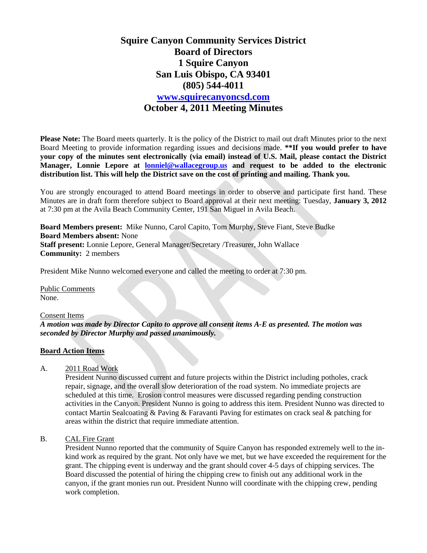# **Squire Canyon Community Services District Board of Directors 1 Squire Canyon San Luis Obispo, CA 93401 (805) 544-4011 [www.squirecanyoncsd.com](http://www.squirecanyoncsd.com/) October 4, 2011 Meeting Minutes**

**Please Note:** The Board meets quarterly. It is the policy of the District to mail out draft Minutes prior to the next Board Meeting to provide information regarding issues and decisions made. **\*\*If you would prefer to have your copy of the minutes sent electronically (via email) instead of U.S. Mail, please contact the District Manager, Lonnie Lepore at [lonniel@wallacegroup.us](mailto:lonniel@wallacegroup.us) and request to be added to the electronic distribution list. This will help the District save on the cost of printing and mailing. Thank you.**

You are strongly encouraged to attend Board meetings in order to observe and participate first hand. These Minutes are in draft form therefore subject to Board approval at their next meeting: Tuesday, **January 3, 2012** at 7:30 pm at the Avila Beach Community Center, 191 San Miguel in Avila Beach.

**Board Members present:** Mike Nunno, Carol Capito, Tom Murphy, Steve Fiant, Steve Budke **Board Members absent:** None **Staff present:** Lonnie Lepore, General Manager/Secretary /Treasurer, John Wallace **Community:** 2 members

President Mike Nunno welcomed everyone and called the meeting to order at 7:30 pm.

Public Comments None.

Consent Items

*A motion was made by Director Capito to approve all consent items A-E as presented. The motion was seconded by Director Murphy and passed unanimously.*

#### **Board Action Items**

A. 2011 Road Work

President Nunno discussed current and future projects within the District including potholes, crack repair, signage, and the overall slow deterioration of the road system. No immediate projects are scheduled at this time. Erosion control measures were discussed regarding pending construction activities in the Canyon. President Nunno is going to address this item. President Nunno was directed to contact Martin Sealcoating & Paving & Faravanti Paving for estimates on crack seal & patching for areas within the district that require immediate attention.

B. CAL Fire Grant

President Nunno reported that the community of Squire Canyon has responded extremely well to the inkind work as required by the grant. Not only have we met, but we have exceeded the requirement for the grant. The chipping event is underway and the grant should cover 4-5 days of chipping services. The Board discussed the potential of hiring the chipping crew to finish out any additional work in the canyon, if the grant monies run out. President Nunno will coordinate with the chipping crew, pending work completion.